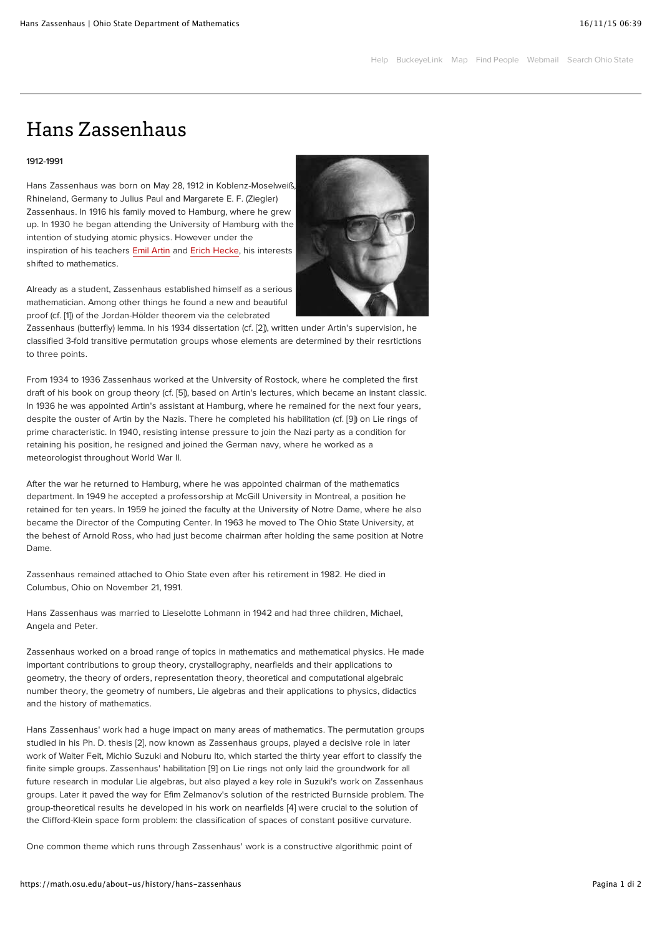## Hans Zassenhaus

## 1912-1991

Hans Zassenhaus was born on May 28, 1912 in Koblenz-Moselweiß, Rhineland, Germany to Julius Paul and Margarete E. F. (Ziegler) Zassenhaus. In 1916 his family moved to Hamburg, where he grew up. In 1930 he began attending the University of Hamburg with the intention of studying atomic physics. However under the inspiration of his teachers [Emil Artin](http://www-groups.dcs.st-and.ac.uk/~history/Mathematicians/Artin.html) and [Erich Hecke,](http://www-groups.dcs.st-and.ac.uk/~history/Mathematicians/Hecke.html) his interests shifted to mathematics.

Already as a student, Zassenhaus established himself as a serious mathematician. Among other things he found a new and beautiful proof (cf. [1]) of the Jordan-Hölder theorem via the celebrated

Zassenhaus (butterfly) lemma. In his 1934 dissertation (cf. [2]), written under Artin's supervision, he classified 3-fold transitive permutation groups whose elements are determined by their resrtictions to three points.

From 1934 to 1936 Zassenhaus worked at the University of Rostock, where he completed the first draft of his book on group theory (cf. [5]), based on Artin's lectures, which became an instant classic. In 1936 he was appointed Artin's assistant at Hamburg, where he remained for the next four years, despite the ouster of Artin by the Nazis. There he completed his habilitation (cf. [9]) on Lie rings of prime characteristic. In 1940, resisting intense pressure to join the Nazi party as a condition for retaining his position, he resigned and joined the German navy, where he worked as a meteorologist throughout World War II.

After the war he returned to Hamburg, where he was appointed chairman of the mathematics department. In 1949 he accepted a professorship at McGill University in Montreal, a position he retained for ten years. In 1959 he joined the faculty at the University of Notre Dame, where he also became the Director of the Computing Center. In 1963 he moved to The Ohio State University, at the behest of Arnold Ross, who had just become chairman after holding the same position at Notre Dame.

Zassenhaus remained attached to Ohio State even after his retirement in 1982. He died in Columbus, Ohio on November 21, 1991.

Hans Zassenhaus was married to Lieselotte Lohmann in 1942 and had three children, Michael, Angela and Peter.

Zassenhaus worked on a broad range of topics in mathematics and mathematical physics. He made important contributions to group theory, crystallography, nearfields and their applications to geometry, the theory of orders, representation theory, theoretical and computational algebraic number theory, the geometry of numbers, Lie algebras and their applications to physics, didactics and the history of mathematics.

Hans Zassenhaus' work had a huge impact on many areas of mathematics. The permutation groups studied in his Ph. D. thesis [2], now known as Zassenhaus groups, played a decisive role in later work of Walter Feit, Michio Suzuki and Noburu Ito, which started the thirty year effort to classify the finite simple groups. Zassenhaus' habilitation [9] on Lie rings not only laid the groundwork for all future research in modular Lie algebras, but also played a key role in Suzuki's work on Zassenhaus groups. Later it paved the way for Efim Zelmanov's solution of the restricted Burnside problem. The group-theoretical results he developed in his work on nearfields [4] were crucial to the solution of the Clifford-Klein space form problem: the classification of spaces of constant positive curvature.

One common theme which runs through Zassenhaus' work is a constructive algorithmic point of